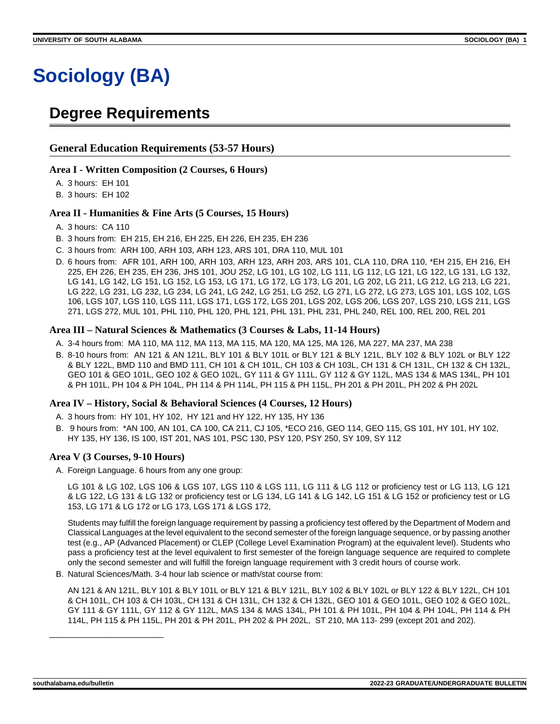# **Sociology (BA)**

# **Degree Requirements**

#### **General Education Requirements (53-57 Hours)**

#### **Area I - Written Composition (2 Courses, 6 Hours)**

A. 3 hours: EH 101

B. 3 hours: EH 102

#### **Area II - Humanities & Fine Arts (5 Courses, 15 Hours)**

#### A. 3 hours: CA 110

- B. 3 hours from: EH 215, EH 216, EH 225, EH 226, EH 235, EH 236
- C. 3 hours from: ARH 100, ARH 103, ARH 123, ARS 101, DRA 110, MUL 101
- D. 6 hours from: AFR 101, ARH 100, ARH 103, ARH 123, ARH 203, ARS 101, CLA 110, DRA 110, \*EH 215, EH 216, EH 225, EH 226, EH 235, EH 236, JHS 101, JOU 252, LG 101, LG 102, LG 111, LG 112, LG 121, LG 122, LG 131, LG 132, LG 141, LG 142, LG 151, LG 152, LG 153, LG 171, LG 172, LG 173, LG 201, LG 202, LG 211, LG 212, LG 213, LG 221, LG 222, LG 231, LG 232, LG 234, LG 241, LG 242, LG 251, LG 252, LG 271, LG 272, LG 273, LGS 101, LGS 102, LGS 106, LGS 107, LGS 110, LGS 111, LGS 171, LGS 172, LGS 201, LGS 202, LGS 206, LGS 207, LGS 210, LGS 211, LGS 271, LGS 272, MUL 101, PHL 110, PHL 120, PHL 121, PHL 131, PHL 231, PHL 240, REL 100, REL 200, REL 201

#### **Area III – Natural Sciences & Mathematics (3 Courses & Labs, 11-14 Hours)**

- A. 3-4 hours from: MA 110, MA 112, MA 113, MA 115, MA 120, MA 125, MA 126, MA 227, MA 237, MA 238
- B. 8-10 hours from: AN 121 & AN 121L, BLY 101 & BLY 101L or BLY 121 & BLY 121L, BLY 102 & BLY 102L or BLY 122 & BLY 122L, BMD 110 and BMD 111, CH 101 & CH 101L, CH 103 & CH 103L, CH 131 & CH 131L, CH 132 & CH 132L, GEO 101 & GEO 101L, GEO 102 & GEO 102L, GY 111 & GY 111L, GY 112 & GY 112L, MAS 134 & MAS 134L, PH 101 & PH 101L, PH 104 & PH 104L, PH 114 & PH 114L, PH 115 & PH 115L, PH 201 & PH 201L, PH 202 & PH 202L

#### **Area IV – History, Social & Behavioral Sciences (4 Courses, 12 Hours)**

A. 3 hours from: HY 101, HY 102, HY 121 and HY 122, HY 135, HY 136

B. 9 hours from: \*AN 100, AN 101, CA 100, CA 211, CJ 105, \*ECO 216, GEO 114, GEO 115, GS 101, HY 101, HY 102, HY 135, HY 136, IS 100, IST 201, NAS 101, PSC 130, PSY 120, PSY 250, SY 109, SY 112

#### **Area V (3 Courses, 9-10 Hours)**

A. Foreign Language. 6 hours from any one group:

LG 101 & LG 102, LGS 106 & LGS 107, LGS 110 & LGS 111, LG 111 & LG 112 or proficiency test or LG 113, LG 121 & LG 122, LG 131 & LG 132 or proficiency test or LG 134, LG 141 & LG 142, LG 151 & LG 152 or proficiency test or LG 153, LG 171 & LG 172 or LG 173, LGS 171 & LGS 172,

Students may fulfill the foreign language requirement by passing a proficiency test offered by the Department of Modern and Classical Languages at the level equivalent to the second semester of the foreign language sequence, or by passing another test (e.g., AP (Advanced Placement) or CLEP (College Level Examination Program) at the equivalent level). Students who pass a proficiency test at the level equivalent to first semester of the foreign language sequence are required to complete only the second semester and will fulfill the foreign language requirement with 3 credit hours of course work.

B. Natural Sciences/Math. 3-4 hour lab science or math/stat course from:

AN 121 & AN 121L, BLY 101 & BLY 101L or BLY 121 & BLY 121L, BLY 102 & BLY 102L or BLY 122 & BLY 122L, CH 101 & CH 101L, CH 103 & CH 103L, CH 131 & CH 131L, CH 132 & CH 132L, GEO 101 & GEO 101L, GEO 102 & GEO 102L, GY 111 & GY 111L, GY 112 & GY 112L, MAS 134 & MAS 134L, PH 101 & PH 101L, PH 104 & PH 104L, PH 114 & PH 114L, PH 115 & PH 115L, PH 201 & PH 201L, PH 202 & PH 202L, ST 210, MA 113- 299 (except 201 and 202).

\_\_\_\_\_\_\_\_\_\_\_\_\_\_\_\_\_\_\_\_\_\_\_\_\_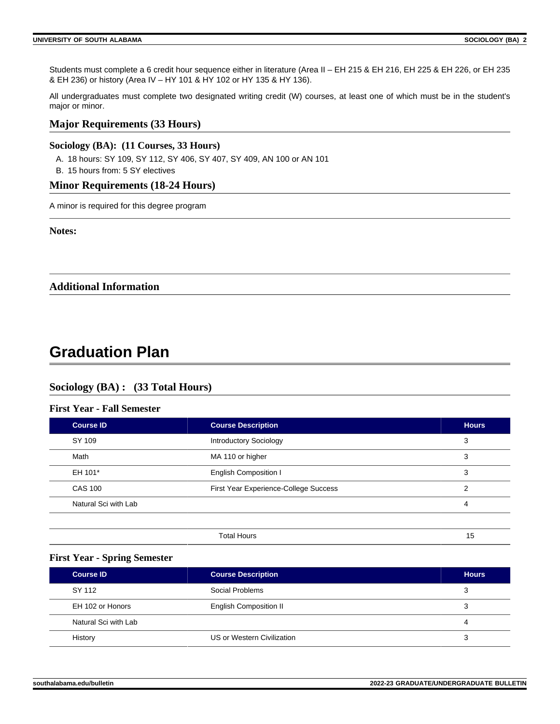Students must complete a 6 credit hour sequence either in literature (Area II – EH 215 & EH 216, EH 225 & EH 226, or EH 235 & EH 236) or history (Area IV – HY 101 & HY 102 or HY 135 & HY 136).

All undergraduates must complete two designated writing credit (W) courses, at least one of which must be in the student's major or minor.

#### **Major Requirements (33 Hours)**

#### **Sociology (BA): (11 Courses, 33 Hours)**

- A. 18 hours: SY 109, SY 112, SY 406, SY 407, SY 409, AN 100 or AN 101
- B. 15 hours from: 5 SY electives

#### **Minor Requirements (18-24 Hours)**

A minor is required for this degree program

**Notes:**

**Additional Information**

# **Graduation Plan**

### **Sociology (BA) : (33 Total Hours)**

#### **First Year - Fall Semester**

| Course ID            | <b>Course Description</b>             | <b>Hours</b> |
|----------------------|---------------------------------------|--------------|
| SY 109               | <b>Introductory Sociology</b>         | 3            |
| Math                 | MA 110 or higher                      | 3            |
| EH 101*              | <b>English Composition I</b>          | 3            |
| <b>CAS 100</b>       | First Year Experience-College Success | 2            |
| Natural Sci with Lab |                                       | 4            |
|                      |                                       |              |

| Total Hours | J |  |
|-------------|---|--|
|             |   |  |

#### **First Year - Spring Semester**

| <b>Course ID</b>     | <b>Course Description</b>     | <b>Hours</b> |
|----------------------|-------------------------------|--------------|
| SY 112               | Social Problems               | 3            |
| EH 102 or Honors     | <b>English Composition II</b> |              |
| Natural Sci with Lab |                               | 4            |
| History              | US or Western Civilization    | 3            |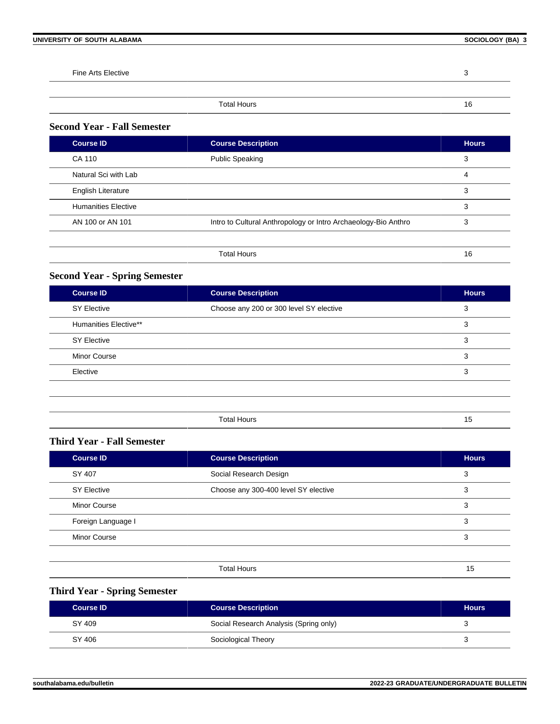**Fine Arts Elective 3** 3

#### Total Hours 16

## **Second Year - Fall Semester**

| <b>Course ID</b>           | <b>Course Description</b>                                      | <b>Hours</b> |
|----------------------------|----------------------------------------------------------------|--------------|
| CA 110                     | <b>Public Speaking</b>                                         | 3            |
| Natural Sci with Lab       |                                                                | 4            |
| <b>English Literature</b>  |                                                                | 3            |
| <b>Humanities Elective</b> |                                                                | 3            |
| AN 100 or AN 101           | Intro to Cultural Anthropology or Intro Archaeology-Bio Anthro | 3            |
|                            |                                                                |              |
|                            | <b>Total Hours</b>                                             | 16           |

# **Second Year - Spring Semester**

| <b>Course ID</b>      | <b>Course Description</b>               | <b>Hours</b> |
|-----------------------|-----------------------------------------|--------------|
| <b>SY Elective</b>    | Choose any 200 or 300 level SY elective | 3            |
| Humanities Elective** |                                         | 3            |
| <b>SY Elective</b>    |                                         | 3            |
| <b>Minor Course</b>   |                                         | 3            |
| Elective              |                                         | 3            |
|                       |                                         |              |
|                       |                                         |              |
|                       | <b>Total Hours</b>                      | 15           |

#### **Third Year - Fall Semester**

| <b>Course ID</b>    | <b>Course Description</b>            | <b>Hours</b> |
|---------------------|--------------------------------------|--------------|
| SY 407              | Social Research Design               | 3            |
| <b>SY Elective</b>  | Choose any 300-400 level SY elective | 3            |
| <b>Minor Course</b> |                                      | 3            |
| Foreign Language I  |                                      | 3            |
| <b>Minor Course</b> |                                      | 3            |
|                     |                                      |              |

| $-1-$ |        |
|-------|--------|
| Hours |        |
|       | $\sim$ |
|       |        |

# **Third Year - Spring Semester**

| <b>Course ID</b> | <b>Course Description</b>              | <b>Hours</b> |
|------------------|----------------------------------------|--------------|
| SY 409           | Social Research Analysis (Spring only) |              |
| SY 406           | Sociological Theory                    |              |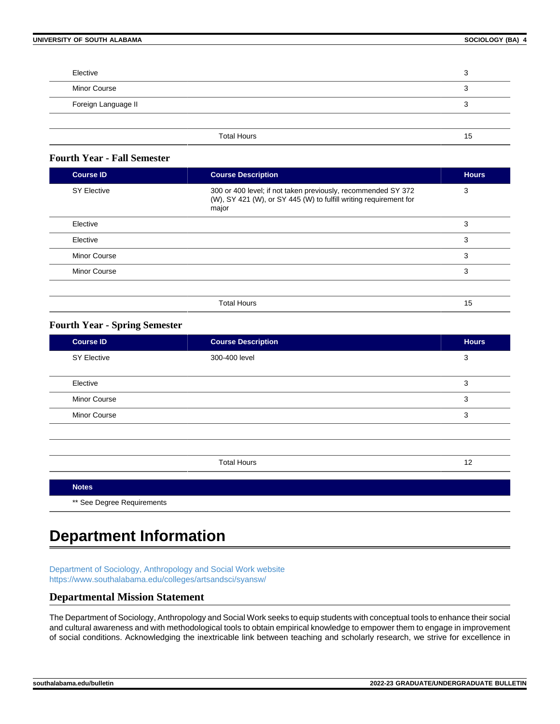| Elective            |    |
|---------------------|----|
| <b>Minor Course</b> |    |
| Foreign Language II |    |
|                     |    |
| <b>Total Hours</b>  | 15 |

### **Fourth Year - Fall Semester**

| <b>Course ID</b>    | <b>Course Description</b>                                                                                                                   | <b>Hours</b> |
|---------------------|---------------------------------------------------------------------------------------------------------------------------------------------|--------------|
| <b>SY Elective</b>  | 300 or 400 level; if not taken previously, recommended SY 372<br>(W), SY 421 (W), or SY 445 (W) to fulfill writing requirement for<br>major | 3            |
| Elective            |                                                                                                                                             | 3            |
| Elective            |                                                                                                                                             | 3            |
| <b>Minor Course</b> |                                                                                                                                             | 3            |
| <b>Minor Course</b> |                                                                                                                                             | 3            |
|                     |                                                                                                                                             |              |
|                     | <b>Total Hours</b>                                                                                                                          | 15           |

#### **Fourth Year - Spring Semester**

| Course <b>ID</b>           | <b>Course Description</b> | <b>Hours</b> |
|----------------------------|---------------------------|--------------|
| <b>SY Elective</b>         | 300-400 level             | 3            |
|                            |                           |              |
| Elective                   |                           | 3            |
| Minor Course               |                           | 3            |
| Minor Course               |                           | 3            |
|                            |                           |              |
|                            |                           |              |
|                            | <b>Total Hours</b>        | 12           |
|                            |                           |              |
| <b>Notes</b>               |                           |              |
| ** See Degree Requirements |                           |              |

# **Department Information**

[Department of Sociology, Anthropology and Social Work website](https://www.southalabama.edu/colleges/artsandsci/syansw/) <https://www.southalabama.edu/colleges/artsandsci/syansw/>

### **Departmental Mission Statement**

The Department of Sociology, Anthropology and Social Work seeks to equip students with conceptual tools to enhance their social and cultural awareness and with methodological tools to obtain empirical knowledge to empower them to engage in improvement of social conditions. Acknowledging the inextricable link between teaching and scholarly research, we strive for excellence in